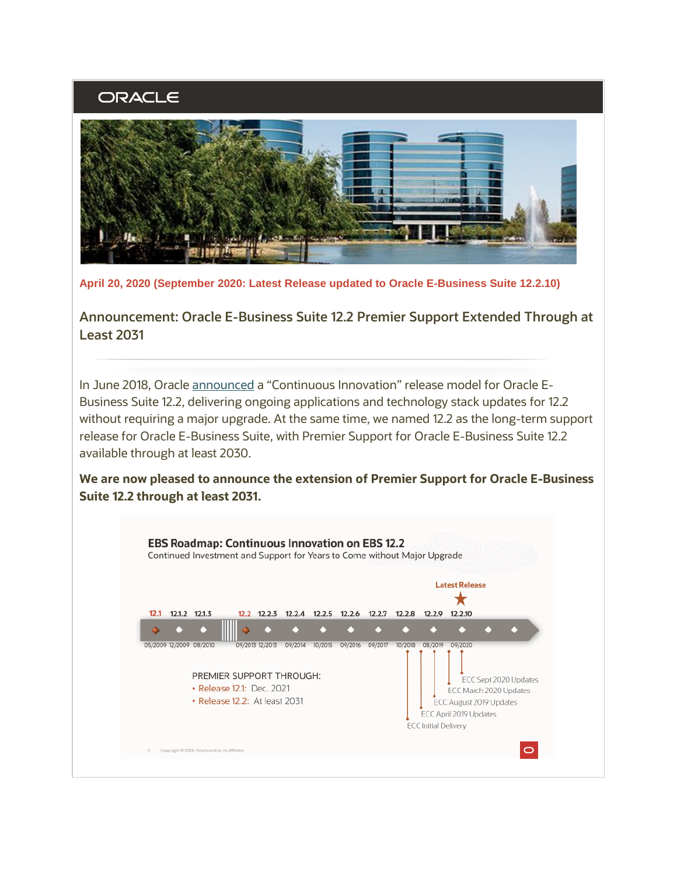## ORACLE



**April 20, 2020 (September 2020: Latest Release updated to Oracle E-Business Suite 12.2.10)**

**Announcement: Oracle E-Business Suite 12.2 Premier Support Extended Through at Least 2031**

In June 2018, Oracle [announced](http://www.oracle.com/us/products/applications/ebs-suite-12-2-announcement-5172019.pdf) a "Continuous Innovation" release model for Oracle E-Business Suite 12.2, delivering ongoing applications and technology stack updates for 12.2 without requiring a major upgrade. At the same time, we named 12.2 as the long-term support release for Oracle E-Business Suite, with Premier Support for Oracle E-Business Suite 12.2 available through at least 2030.

**We are now pleased to announce the extension of Premier Support for Oracle E-Business Suite 12.2 through at least 2031.**